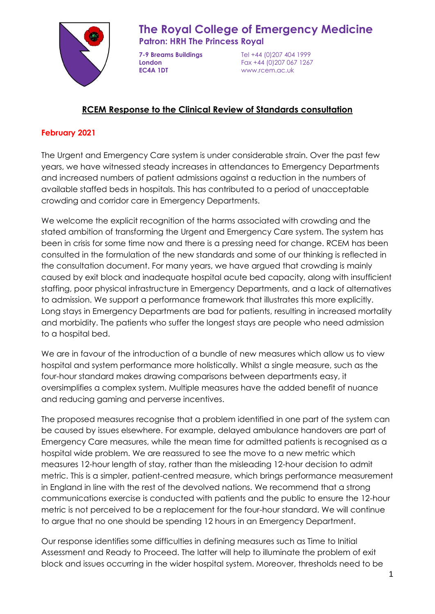

# **The Royal College of Emergency Medicine**

**Patron: HRH The Princess Royal**

**EC4A 1DT** www.rcem.ac.uk

**7-9 Breams Buildings** Tel +44 (0)207 404 1999 **London** Fax +44 (0)207 067 1267

# **RCEM Response to the Clinical Review of Standards consultation**

## **February 2021**

The Urgent and Emergency Care system is under considerable strain. Over the past few years, we have witnessed steady increases in attendances to Emergency Departments and increased numbers of patient admissions against a reduction in the numbers of available staffed beds in hospitals. This has contributed to a period of unacceptable crowding and corridor care in Emergency Departments.

We welcome the explicit recognition of the harms associated with crowding and the stated ambition of transforming the Urgent and Emergency Care system. The system has been in crisis for some time now and there is a pressing need for change. RCEM has been consulted in the formulation of the new standards and some of our thinking is reflected in the consultation document. For many years, we have argued that crowding is mainly caused by exit block and inadequate hospital acute bed capacity, along with insufficient staffing, poor physical infrastructure in Emergency Departments, and a lack of alternatives to admission. We support a performance framework that illustrates this more explicitly. Long stays in Emergency Departments are bad for patients, resulting in increased mortality and morbidity. The patients who suffer the longest stays are people who need admission to a hospital bed.

We are in favour of the introduction of a bundle of new measures which allow us to view hospital and system performance more holistically. Whilst a single measure, such as the four-hour standard makes drawing comparisons between departments easy, it oversimplifies a complex system. Multiple measures have the added benefit of nuance and reducing gaming and perverse incentives.

The proposed measures recognise that a problem identified in one part of the system can be caused by issues elsewhere. For example, delayed ambulance handovers are part of Emergency Care measures, while the mean time for admitted patients is recognised as a hospital wide problem. We are reassured to see the move to a new metric which measures 12-hour length of stay, rather than the misleading 12-hour decision to admit metric. This is a simpler, patient-centred measure, which brings performance measurement in England in line with the rest of the devolved nations. We recommend that a strong communications exercise is conducted with patients and the public to ensure the 12-hour metric is not perceived to be a replacement for the four-hour standard. We will continue to argue that no one should be spending 12 hours in an Emergency Department.

Our response identifies some difficulties in defining measures such as Time to Initial Assessment and Ready to Proceed. The latter will help to illuminate the problem of exit block and issues occurring in the wider hospital system. Moreover, thresholds need to be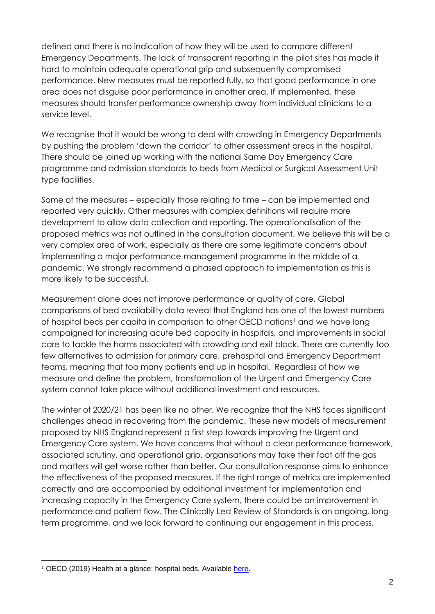defined and there is no indication of how they will be used to compare different Emergency Departments. The lack of transparent reporting in the pilot sites has made it hard to maintain adequate operational grip and subsequently compromised performance. New measures must be reported fully, so that good performance in one area does not disguise poor performance in another area. If implemented, these measures should transfer performance ownership away from individual clinicians to a service level.

We recognise that it would be wrong to deal with crowding in Emergency Departments by pushing the problem 'down the corridor' to other assessment areas in the hospital. There should be joined up working with the national Same Day Emergency Care programme and admission standards to beds from Medical or Surgical Assessment Unit type facilities.

Some of the measures – especially those relating to time – can be implemented and reported very quickly. Other measures with complex definitions will require more development to allow data collection and reporting. The operationalisation of the proposed metrics was not outlined in the consultation document. We believe this will be a very complex area of work, especially as there are some legitimate concerns about implementing a major performance management programme in the middle of a pandemic. We strongly recommend a phased approach to implementation as this is more likely to be successful.

Measurement alone does not improve performance or quality of care. Global comparisons of bed availability data reveal that England has one of the lowest numbers of hospital beds per capita in comparison to other OECD nations<sup>1</sup> and we have long campaigned for increasing acute bed capacity in hospitals, and improvements in social care to tackle the harms associated with crowding and exit block. There are currently too few alternatives to admission for primary care, prehospital and Emergency Department teams, meaning that too many patients end up in hospital. Regardless of how we measure and define the problem, transformation of the Urgent and Emergency Care system cannot take place without additional investment and resources.

The winter of 2020/21 has been like no other. We recognize that the NHS faces significant challenges ahead in recovering from the pandemic. These new models of measurement proposed by NHS England represent a first step towards improving the Urgent and Emergency Care system. We have concerns that without a clear performance framework, associated scrutiny, and operational grip, organisations may take their foot off the gas and matters will get worse rather than better. Our consultation response aims to enhance the effectiveness of the proposed measures. If the right range of metrics are implemented correctly and are accompanied by additional investment for implementation and increasing capacity in the Emergency Care system, there could be an improvement in performance and patient flow. The Clinically Led Review of Standards is an ongoing, longterm programme, and we look forward to continuing our engagement in this process.

<sup>&</sup>lt;sup>1</sup> OECD (2019) Health at a glance: hospital beds. Available [here.](https://data.oecd.org/healtheqt/hospital-beds.htm)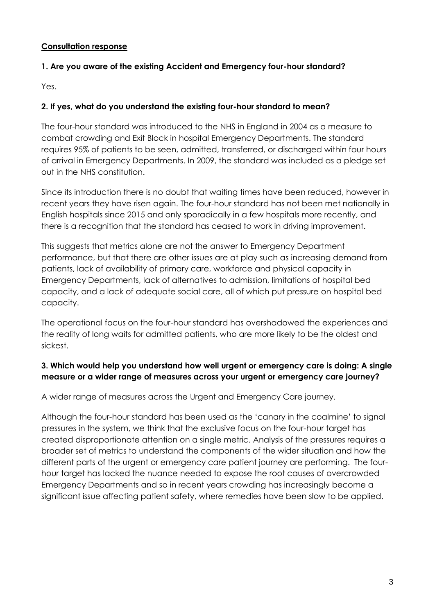#### **Consultation response**

#### **1. Are you aware of the existing Accident and Emergency four-hour standard?**

Yes.

#### **2. If yes, what do you understand the existing four-hour standard to mean?**

The four-hour standard was introduced to the NHS in England in 2004 as a measure to combat crowding and Exit Block in hospital Emergency Departments. The standard requires 95% of patients to be seen, admitted, transferred, or discharged within four hours of arrival in Emergency Departments. In 2009, the standard was included as a pledge set out in the NHS constitution.

Since its introduction there is no doubt that waiting times have been reduced, however in recent years they have risen again. The four-hour standard has not been met nationally in English hospitals since 2015 and only sporadically in a few hospitals more recently, and there is a recognition that the standard has ceased to work in driving improvement.

This suggests that metrics alone are not the answer to Emergency Department performance, but that there are other issues are at play such as increasing demand from patients, lack of availability of primary care, workforce and physical capacity in Emergency Departments, lack of alternatives to admission, limitations of hospital bed capacity, and a lack of adequate social care, all of which put pressure on hospital bed capacity.

The operational focus on the four-hour standard has overshadowed the experiences and the reality of long waits for admitted patients, who are more likely to be the oldest and sickest.

#### **3. Which would help you understand how well urgent or emergency care is doing: A single measure or a wider range of measures across your urgent or emergency care journey?**

A wider range of measures across the Urgent and Emergency Care journey.

Although the four-hour standard has been used as the 'canary in the coalmine' to signal pressures in the system, we think that the exclusive focus on the four-hour target has created disproportionate attention on a single metric. Analysis of the pressures requires a broader set of metrics to understand the components of the wider situation and how the different parts of the urgent or emergency care patient journey are performing. The fourhour target has lacked the nuance needed to expose the root causes of overcrowded Emergency Departments and so in recent years crowding has increasingly become a significant issue affecting patient safety, where remedies have been slow to be applied.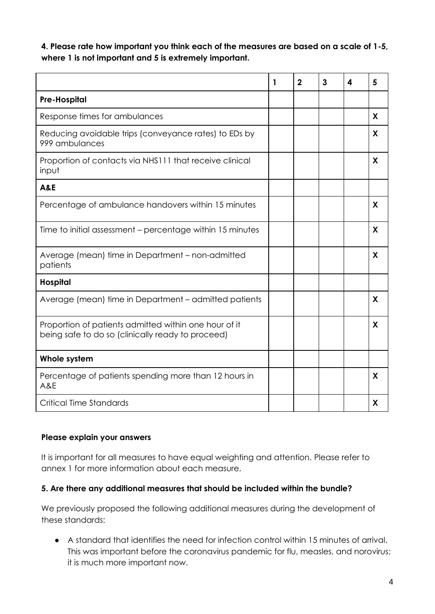**4. Please rate how important you think each of the measures are based on a scale of 1-5, where 1 is not important and 5 is extremely important.**

|                                                                                                            | 1 | $\mathbf{2}$ | 3 | 4 | 5 |
|------------------------------------------------------------------------------------------------------------|---|--------------|---|---|---|
| <b>Pre-Hospital</b>                                                                                        |   |              |   |   |   |
| Response times for ambulances                                                                              |   |              |   |   | X |
| Reducing avoidable trips (conveyance rates) to EDs by<br>999 ambulances                                    |   |              |   |   | X |
| Proportion of contacts via NHS111 that receive clinical<br>input                                           |   |              |   |   | X |
| <b>A&amp;E</b>                                                                                             |   |              |   |   |   |
| Percentage of ambulance handovers within 15 minutes                                                        |   |              |   |   | X |
| Time to initial assessment – percentage within 15 minutes                                                  |   |              |   |   | X |
| Average (mean) time in Department - non-admitted<br>patients                                               |   |              |   |   | X |
| <b>Hospital</b>                                                                                            |   |              |   |   |   |
| Average (mean) time in Department - admitted patients                                                      |   |              |   |   | X |
| Proportion of patients admitted within one hour of it<br>being safe to do so (clinically ready to proceed) |   |              |   |   | X |
| Whole system                                                                                               |   |              |   |   |   |
| Percentage of patients spending more than 12 hours in<br>A&E                                               |   |              |   |   | X |
| <b>Critical Time Standards</b>                                                                             |   |              |   |   | X |

#### **Please explain your answers**

It is important for all measures to have equal weighting and attention. Please refer to annex 1 for more information about each measure.

#### **5. Are there any additional measures that should be included within the bundle?**

We previously proposed the following additional measures during the development of these standards:

● A standard that identifies the need for infection control within 15 minutes of arrival. This was important before the coronavirus pandemic for flu, measles, and norovirus; it is much more important now.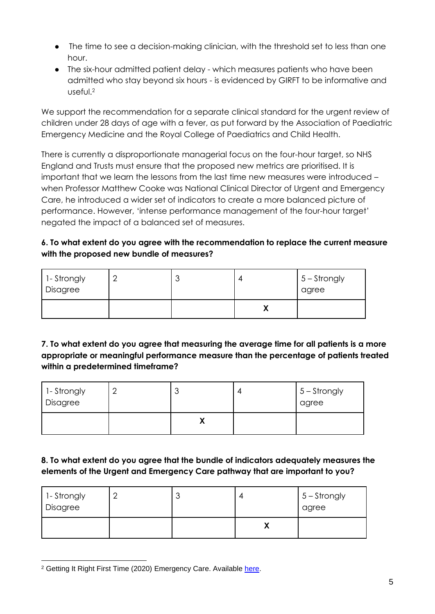- The time to see a decision-making clinician, with the threshold set to less than one hour.
- The six-hour admitted patient delay which measures patients who have been admitted who stay beyond six hours - is evidenced by GIRFT to be informative and useful.<sup>2</sup>

We support the recommendation for a separate clinical standard for the urgent review of children under 28 days of age with a fever, as put forward by the Association of Paediatric Emergency Medicine and the Royal College of Paediatrics and Child Health.

There is currently a disproportionate managerial focus on the four-hour target, so NHS England and Trusts must ensure that the proposed new metrics are prioritised. It is important that we learn the lessons from the last time new measures were introduced – when Professor Matthew Cooke was National Clinical Director of Urgent and Emergency Care, he introduced a wider set of indicators to create a more balanced picture of performance. However, 'intense performance management of the four-hour target' negated the impact of a balanced set of measures.

## **6. To what extent do you agree with the recommendation to replace the current measure with the proposed new bundle of measures?**

| 1- Strongly<br>Disagree |  | $5 -$ Strongly<br>agree |
|-------------------------|--|-------------------------|
|                         |  |                         |

## **7. To what extent do you agree that measuring the average time for all patients is a more appropriate or meaningful performance measure than the percentage of patients treated within a predetermined timeframe?**

| 1-Strongly<br>Disagree | ບ | $15 -$ Strongly<br>agree |
|------------------------|---|--------------------------|
|                        |   |                          |

# **8. To what extent do you agree that the bundle of indicators adequately measures the elements of the Urgent and Emergency Care pathway that are important to you?**

| 1- Strongly<br>Disagree |  | $5 -$ Strongly<br>agree |
|-------------------------|--|-------------------------|
|                         |  |                         |

<sup>&</sup>lt;sup>2</sup> Getting It Right First Time (2020) Emergency Care. Available [here.](https://www.gettingitrightfirsttime.co.uk/emergency-care/)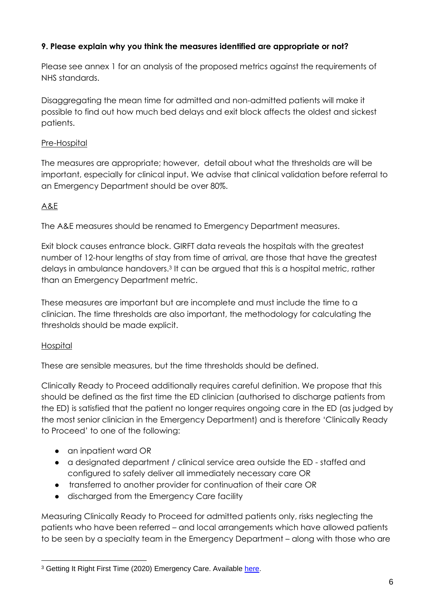## **9. Please explain why you think the measures identified are appropriate or not?**

Please see annex 1 for an analysis of the proposed metrics against the requirements of NHS standards.

Disaggregating the mean time for admitted and non-admitted patients will make it possible to find out how much bed delays and exit block affects the oldest and sickest patients.

## Pre-Hospital

The measures are appropriate; however, detail about what the thresholds are will be important, especially for clinical input. We advise that clinical validation before referral to an Emergency Department should be over 80%.

# A&E

The A&E measures should be renamed to Emergency Department measures.

Exit block causes entrance block. GIRFT data reveals the hospitals with the greatest number of 12-hour lengths of stay from time of arrival, are those that have the greatest delays in ambulance handovers.<sup>3</sup> It can be argued that this is a hospital metric, rather than an Emergency Department metric.

These measures are important but are incomplete and must include the time to a clinician. The time thresholds are also important, the methodology for calculating the thresholds should be made explicit.

#### **Hospital**

These are sensible measures, but the time thresholds should be defined.

Clinically Ready to Proceed additionally requires careful definition. We propose that this should be defined as the first time the ED clinician (authorised to discharge patients from the ED) is satisfied that the patient no longer requires ongoing care in the ED (as judged by the most senior clinician in the Emergency Department) and is therefore 'Clinically Ready to Proceed' to one of the following:

- an inpatient ward OR
- a designated department / clinical service area outside the ED staffed and configured to safely deliver all immediately necessary care OR
- transferred to another provider for continuation of their care OR
- discharged from the Emergency Care facility

Measuring Clinically Ready to Proceed for admitted patients only, risks neglecting the patients who have been referred – and local arrangements which have allowed patients to be seen by a specialty team in the Emergency Department – along with those who are

<sup>&</sup>lt;sup>3</sup> Getting It Right First Time (2020) Emergency Care. Available [here.](https://www.gettingitrightfirsttime.co.uk/emergency-care/)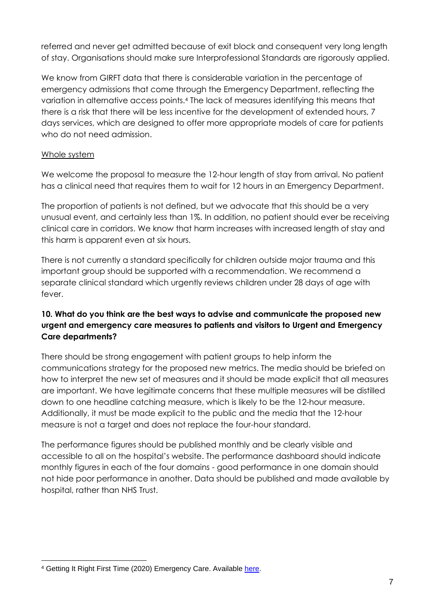referred and never get admitted because of exit block and consequent very long length of stay. Organisations should make sure Interprofessional Standards are rigorously applied.

We know from GIRFT data that there is considerable variation in the percentage of emergency admissions that come through the Emergency Department, reflecting the variation in alternative access points.<sup>4</sup> The lack of measures identifying this means that there is a risk that there will be less incentive for the development of extended hours, 7 days services, which are designed to offer more appropriate models of care for patients who do not need admission.

#### Whole system

We welcome the proposal to measure the 12-hour length of stay from arrival. No patient has a clinical need that requires them to wait for 12 hours in an Emergency Department.

The proportion of patients is not defined, but we advocate that this should be a very unusual event, and certainly less than 1%. In addition, no patient should ever be receiving clinical care in corridors. We know that harm increases with increased length of stay and this harm is apparent even at six hours.

There is not currently a standard specifically for children outside major trauma and this important group should be supported with a recommendation. We recommend a separate clinical standard which urgently reviews children under 28 days of age with fever.

## **10. What do you think are the best ways to advise and communicate the proposed new urgent and emergency care measures to patients and visitors to Urgent and Emergency Care departments?**

There should be strong engagement with patient groups to help inform the communications strategy for the proposed new metrics. The media should be briefed on how to interpret the new set of measures and it should be made explicit that all measures are important. We have legitimate concerns that these multiple measures will be distilled down to one headline catching measure, which is likely to be the 12-hour measure. Additionally, it must be made explicit to the public and the media that the 12-hour measure is not a target and does not replace the four-hour standard.

The performance figures should be published monthly and be clearly visible and accessible to all on the hospital's website. The performance dashboard should indicate monthly figures in each of the four domains - good performance in one domain should not hide poor performance in another. Data should be published and made available by hospital, rather than NHS Trust.

<sup>&</sup>lt;sup>4</sup> Getting It Right First Time (2020) Emergency Care. Available [here.](https://www.gettingitrightfirsttime.co.uk/emergency-care/)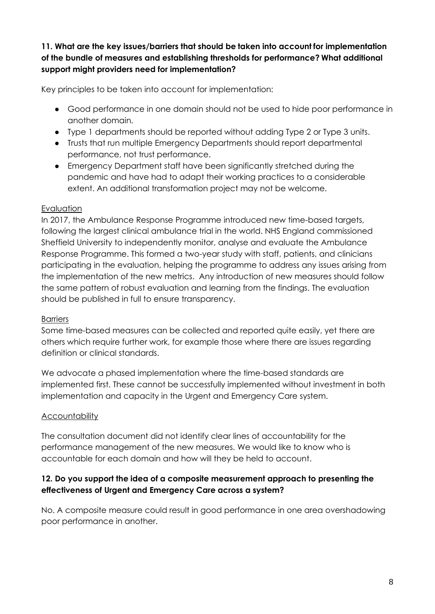## **11. What are the key issues/barriers that should be taken into account for implementation of the bundle of measures and establishing thresholds for performance? What additional support might providers need for implementation?**

Key principles to be taken into account for implementation:

- Good performance in one domain should not be used to hide poor performance in another domain.
- Type 1 departments should be reported without adding Type 2 or Type 3 units.
- Trusts that run multiple Emergency Departments should report departmental performance, not trust performance.
- Emergency Department staff have been significantly stretched during the pandemic and have had to adapt their working practices to a considerable extent. An additional transformation project may not be welcome.

## Evaluation

In 2017, the Ambulance Response Programme introduced new time-based targets, following the largest clinical ambulance trial in the world. NHS England commissioned Sheffield University to independently monitor, analyse and evaluate the Ambulance Response Programme. This formed a two-year study with staff, patients, and clinicians participating in the evaluation, helping the programme to address any issues arising from the implementation of the new metrics. Any introduction of new measures should follow the same pattern of robust evaluation and learning from the findings. The evaluation should be published in full to ensure transparency.

# **Barriers**

Some time-based measures can be collected and reported quite easily, yet there are others which require further work, for example those where there are issues regarding definition or clinical standards.

We advocate a phased implementation where the time-based standards are implemented first. These cannot be successfully implemented without investment in both implementation and capacity in the Urgent and Emergency Care system.

# **Accountability**

The consultation document did not identify clear lines of accountability for the performance management of the new measures. We would like to know who is accountable for each domain and how will they be held to account.

## **12. Do you support the idea of a composite measurement approach to presenting the effectiveness of Urgent and Emergency Care across a system?**

No. A composite measure could result in good performance in one area overshadowing poor performance in another.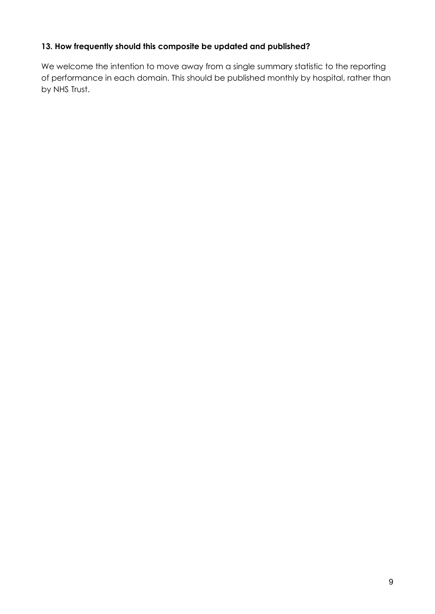#### **13. How frequently should this composite be updated and published?**

We welcome the intention to move away from a single summary statistic to the reporting of performance in each domain. This should be published monthly by hospital, rather than by NHS Trust.